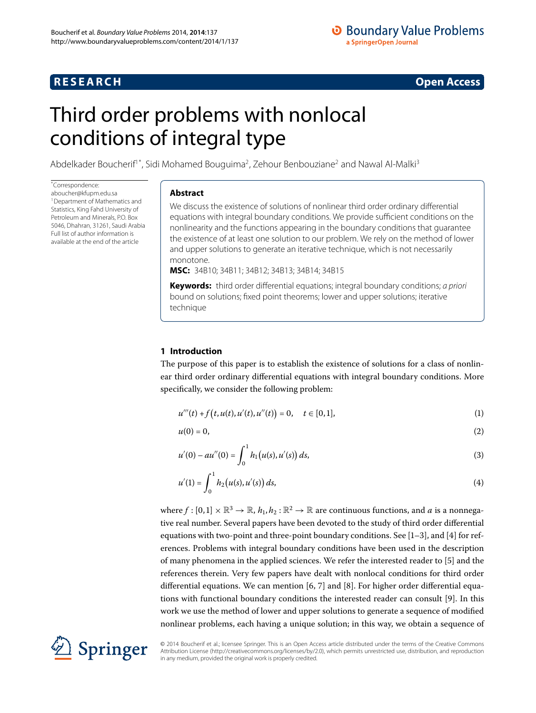## **RESEARCH CONSTRUCTER ACCESS**

## **O** Boundary Value Problems a SpringerOpen Journal

# <span id="page-0-0"></span>Third order problems with nonlocal conditions of integral type

Abdelkader Boucherif<sup>1[\\*](#page-0-0)</sup>, Sidi Mohamed Bouguima<sup>[2](#page-9-1)</sup>, Zehour Benbouziane<sup>2</sup> and Nawal Al-Malki<sup>[3](#page-9-2)</sup>

\* Correspondence:

[aboucher@kfupm.edu.sa](mailto:aboucher@kfupm.edu.sa) 1Department of Mathematics and Statistics, King Fahd University of Petroleum and Minerals, P.O. Box 5046, Dhahran, 31261, Saudi Arabia Full list of author information is available at the end of the article

#### **Abstract**

We discuss the existence of solutions of nonlinear third order ordinary differential equations with integral boundary conditions. We provide sufficient conditions on the nonlinearity and the functions appearing in the boundary conditions that guarantee the existence of at least one solution to our problem. We rely on the method of lower and upper solutions to generate an iterative technique, which is not necessarily monotone.

**MSC:** 34B10; 34B11; 34B12; 34B13; 34B14; 34B15

<span id="page-0-1"></span>**Keywords:** third order differential equations; integral boundary conditions; a priori bound on solutions; fixed point theorems; lower and upper solutions; iterative technique

### **1 Introduction**

The purpose of this paper is to establish the existence of solutions for a class of nonlinear third order ordinary differential equations with integral boundary conditions. More specifically, we consider the following problem:

<span id="page-0-4"></span><span id="page-0-3"></span>
$$
u'''(t) + f(t, u(t), u'(t), u''(t)) = 0, \quad t \in [0, 1],
$$
\n(1)

<span id="page-0-2"></span>
$$
u(0) = 0,\t\t(2)
$$

$$
u'(0) - au''(0) = \int_0^1 h_1(u(s), u'(s)) ds,
$$
\n(3)

$$
u'(1) = \int_0^1 h_2(u(s), u'(s)) ds,
$$
\n(4)

where  $f : [0, 1] \times \mathbb{R}^3 \to \mathbb{R}$ ,  $h_1, h_2 : \mathbb{R}^2 \to \mathbb{R}$  are continuous functions, and *a* is a nonnegative real number. Several papers have been devoted to the study of third order differential equations with two-point and three-point boundary conditions. See  $[1-3]$  $[1-3]$ , and  $[4]$  for references. Problems with integral boundary conditions have been used in the description of many phenomena in the applied sciences. We refer the interested reader to  $[5]$  $[5]$  and the references therein. Very few papers have dealt with nonlocal conditions for third order differential equations. We can mention  $[6, 7]$  $[6, 7]$  and  $[8]$ . For higher order differential equa-tions with functional boundary conditions the interested reader can consult [9[\]](#page-9-10). In this work we use the method of lower and upper solutions to generate a sequence of modified nonlinear problems, each having a unique solution; in this way, we obtain a sequence of



© 2014 Boucherif et al.; licensee Springer. This is an Open Access article distributed under the terms of the Creative Commons Attribution License (http://creativecommons.org/licenses/by/2.0), which permits unrestricted use, distribution, and reproduction in any medium, provided the original work is properly credited.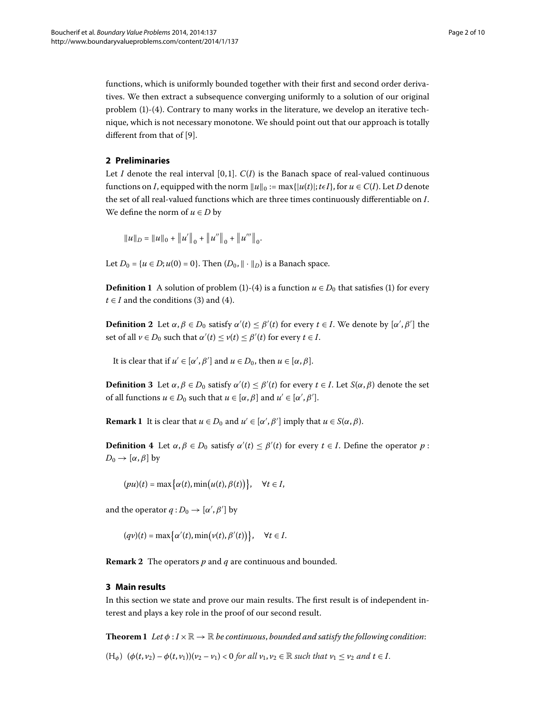functions, which is uniformly bounded together with their first and second order derivatives. We then extract a subsequence converging uniformly to a solution of our original problem  $(1)-(4)$  $(1)-(4)$ . Contrary to many works in the literature, we develop an iterative technique, which is not necessary monotone. We should point out that our approach is totally different from that of [9].

#### **2 Preliminaries**

Let *I* denote the real interval [0,1].  $C(I)$  is the Banach space of real-valued continuous functions on *I*, equipped with the norm  $||u||_0 := \max\{|u(t)|; t \in I\}$ , for  $u \in C(I)$ . Let *D* denote the set of all real-valued functions which are three times continuously differentiable on *I*. We define the norm of  $u \in D$  by

$$
||u||_D = ||u||_0 + ||u'||_0 + ||u''||_0 + ||u'''||_0.
$$

Let  $D_0 = \{u \in D; u(0) = 0\}$ . Then  $(D_0, \|\cdot\|_D)$  is a Banach space.

**Definition 1** A solution of problem [\(](#page-0-2)1)-(4) is a function  $u \in D_0$  that satisfies (1) for every  $t \in I$  and the conditions (3[\)](#page-0-3) and (4).

**Definition 2** Let  $\alpha, \beta \in D_0$  satisfy  $\alpha'(t) \leq \beta'(t)$  for every  $t \in I$ . We denote by  $[\alpha', \beta']$  the set of all  $\nu \in D_0$  such that  $\alpha'(t) \leq \nu(t) \leq \beta'(t)$  for every  $t \in I$ .

It is clear that if  $u' \in [\alpha', \beta']$  and  $u \in D_0$ , then  $u \in [\alpha, \beta]$ .

**Definition 3** Let  $\alpha, \beta \in D_0$  satisfy  $\alpha'(t) \leq \beta'(t)$  for every  $t \in I$ . Let  $S(\alpha, \beta)$  denote the set of all functions  $u \in D_0$  such that  $u \in [\alpha, \beta]$  and  $u' \in [\alpha', \beta']$ .

**Remark 1** It is clear that  $u \in D_0$  and  $u' \in [\alpha', \beta']$  imply that  $u \in S(\alpha, \beta)$ .

**Definition 4** Let  $\alpha, \beta \in D_0$  satisfy  $\alpha'(t) \leq \beta'(t)$  for every  $t \in I$ . Define the operator  $p$ :  $D_0 \rightarrow [\alpha, \beta]$  by

$$
(pu)(t) = \max\bigl\{\alpha(t), \min(u(t), \beta(t))\bigr\}, \quad \forall t \in I,
$$

and the operator  $q: D_0 \to [\alpha', \beta']$  by

$$
(qv)(t) = \max\big\{\alpha'(t), \min(v(t), \beta'(t))\big\}, \quad \forall t \in I.
$$

<span id="page-1-0"></span>**Remark 2** The operators p and q are continuous and bounded.

#### **3 Main results**

In this section we state and prove our main results. The first result is of independent interest and plays a key role in the proof of our second result.

**Theorem 1** Let  $\phi: I \times \mathbb{R} \to \mathbb{R}$  be continuous, bounded and satisfy the following condition:  $(H_{\phi})$   $(\phi(t, v_2) - \phi(t, v_1))(v_2 - v_1) < 0$  for all  $v_1, v_2 \in \mathbb{R}$  such that  $v_1 \le v_2$  and  $t \in I$ .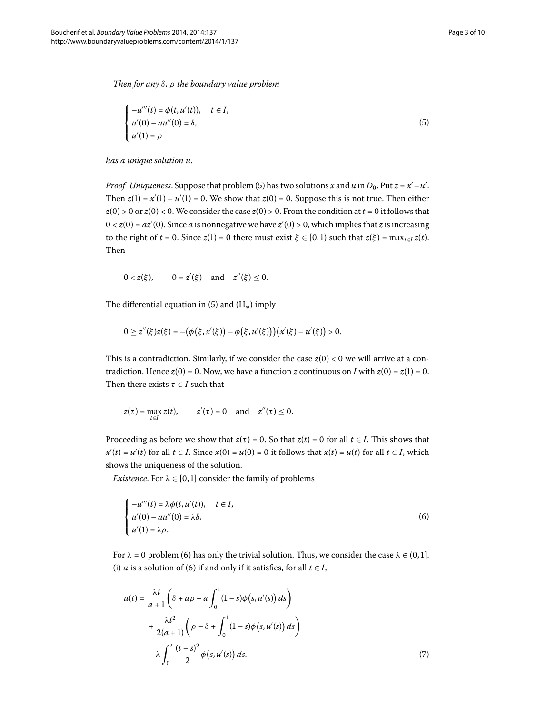*Then for any δ*, *ρ the boundary value problem*

<span id="page-2-0"></span>
$$
\begin{cases}\n-u'''(t) = \phi(t, u'(t)), & t \in I, \\
u'(0) - au''(0) = \delta, \\
u'(1) = \rho\n\end{cases}
$$
\n(5)

*has a unique solution u*.

*Proof*  $~$  *Uniqueness.* Suppose that problem (5[\)](#page-2-0) has two solutions  $x$  and  $u$  in  $D_0.$  Put  $z$  =  $x'-u'$ . Then  $z(1) = x'(1) - u'(1) = 0$ . We show that  $z(0) = 0$ . Suppose this is not true. Then either  $z(0) > 0$  or  $z(0) < 0$ . We consider the case  $z(0) > 0$ . From the condition at  $t = 0$  it follows that  $0 < z(0) = az'(0)$ . Since *a* is nonnegative we have  $z'(0) > 0$ , which implies that *z* is increasing to the right of  $t = 0$ . Since  $z(1) = 0$  there must exist  $\xi \in [0, 1)$  such that  $z(\xi) = \max_{t \in I} z(t)$ . Then

 $0 < z(\xi),$  $z''(\xi)$  and  $z''(\xi) \leq 0$ .

The differential equation in [\(](#page-2-0)5) and  $(H_{\phi})$  imply

$$
0 \ge z''(\xi)z(\xi) = -(\phi(\xi,x'(\xi)) - \phi(\xi,u'(\xi)))(x'(\xi) - u'(\xi)) > 0.
$$

This is a contradiction. Similarly, if we consider the case  $z(0) < 0$  we will arrive at a contradiction. Hence  $z(0) = 0$ . Now, we have a function *z* continuous on *I* with  $z(0) = z(1) = 0$ . Then there exists  $\tau \in I$  such that

<span id="page-2-1"></span>
$$
z(\tau) = \max_{t \in I} z(t), \qquad z'(\tau) = 0 \quad \text{and} \quad z''(\tau) \leq 0.
$$

Proceeding as before we show that  $z(\tau) = 0$ . So that  $z(t) = 0$  for all  $t \in I$ . This shows that  $x'(t) = u'(t)$  for all  $t \in I$ . Since  $x(0) = u(0) = 0$  it follows that  $x(t) = u(t)$  for all  $t \in I$ , which shows the uniqueness of the solution.

*Existence*. For  $\lambda \in [0, 1]$  consider the family of problems

$$
\begin{cases}\n-u'''(t) = \lambda \phi(t, u'(t)), & t \in I, \\
u'(0) - au''(0) = \lambda \delta, \\
u'(1) = \lambda \rho.\n\end{cases}
$$
\n(6)

<span id="page-2-2"></span>For  $\lambda = 0$  problem [\(](#page-2-1)6) has only the trivial solution. Thus, we consider the case  $\lambda \in (0,1]$ . (i) *u* is a solution of (6) if and only if it satisfies, for all  $t \in I$ ,

$$
u(t) = \frac{\lambda t}{a+1} \left( \delta + a\rho + a \int_0^1 (1-s)\phi(s, u'(s)) ds \right)
$$
  
+ 
$$
\frac{\lambda t^2}{2(a+1)} \left( \rho - \delta + \int_0^1 (1-s)\phi(s, u'(s)) ds \right)
$$
  
- 
$$
\lambda \int_0^t \frac{(t-s)^2}{2} \phi(s, u'(s)) ds.
$$
 (7)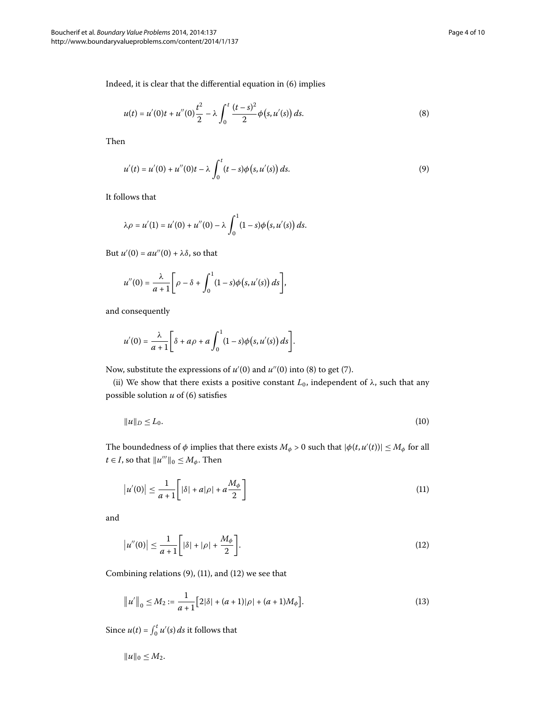Indeed, it is clear that the differential equation in  $(6)$  implies

<span id="page-3-1"></span><span id="page-3-0"></span>
$$
u(t) = u'(0)t + u''(0)\frac{t^2}{2} - \lambda \int_0^t \frac{(t-s)^2}{2} \phi(s, u'(s)) ds.
$$
 (8)

Then

$$
u'(t) = u'(0) + u''(0)t - \lambda \int_0^t (t - s)\phi(s, u'(s)) ds.
$$
\n(9)

It follows that

$$
\lambda \rho = u'(1) = u'(0) + u''(0) - \lambda \int_0^1 (1 - s) \phi(s, u'(s)) ds.
$$

But  $u'(0) = au''(0) + \lambda \delta$ , so that

$$
u''(0) = \frac{\lambda}{a+1} \bigg[ \rho - \delta + \int_0^1 (1-s) \phi(s, u'(s)) \, ds \bigg],
$$

and consequently

<span id="page-3-4"></span>
$$
u'(0) = \frac{\lambda}{a+1} \bigg[ \delta + a\rho + a \int_0^1 (1-s)\phi(s,u'(s))\,ds \bigg].
$$

Now, substitute the expressions of  $u'(0)$  $u'(0)$  and  $u''(0)$  into (8) to get (7).

(ii) We show that there exists a positive constant  $L_0$ , independent of  $\lambda$ , such that any possible solution  $u$  of (6) satisfies

<span id="page-3-2"></span>
$$
||u||_D \le L_0. \tag{10}
$$

The boundedness of  $\phi$  implies that there exists  $M_\phi > 0$  such that  $|\phi(t, u'(t))| \leq M_\phi$  for all  $t \in I$ , so that  $||u'''||_0 \leq M_\phi$ . Then

<span id="page-3-3"></span>
$$
\left|u'(0)\right| \le \frac{1}{a+1} \left[|\delta| + a|\rho| + a\frac{M_{\phi}}{2}\right] \tag{11}
$$

and

$$
|u''(0)| \le \frac{1}{a+1} \bigg[ |\delta| + |\rho| + \frac{M_{\phi}}{2} \bigg].
$$
 (12)

Combining relations  $(9)$  $(9)$ ,  $(11)$  $(11)$ , and  $(12)$  we see that

$$
||u'||_0 \le M_2 := \frac{1}{a+1} [2|\delta| + (a+1)|\rho| + (a+1)M_\phi].
$$
\n(13)

Since  $u(t) = \int_0^t u'(s) ds$  it follows that

$$
||u||_0 \leq M_2.
$$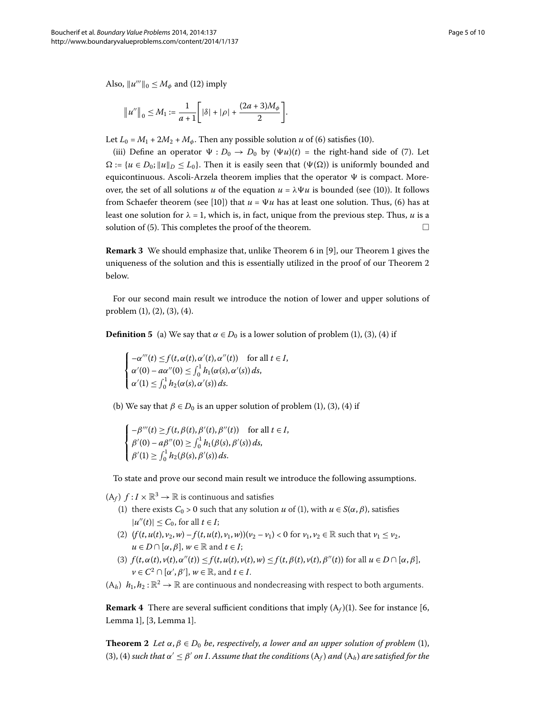Also,  $||u'''||_0 \leq M_\phi$  and (12) imply

$$
||u''||_0 \le M_1 := \frac{1}{a+1} \Big[ |\delta| + |\rho| + \frac{(2a+3)M_\phi}{2} \Big].
$$

Let  $L_0 = M_1 + 2M_2 + M_\phi$ . Then any possible solution *u* of [\(](#page-3-4)6) satisfies (10).

[\(](#page-2-2)iii) Define an operator  $\Psi : D_0 \to D_0$  by  $(\Psi u)(t) =$  the right-hand side of (7). Let  $\Omega := \{u \in D_0; ||u||_D \leq L_0\}$ . Then it is easily seen that  $(\Psi(\Omega))$  is uniformly bounded and equicontinuous. Ascoli-Arzela theorem implies that the operator  $\Psi$  is compact. Moreover, the set of all solutions *u* of the equation  $u = \lambda \Psi u$  is bounded [\(](#page-3-4)see (10)). It follows from Schaefer theorem (see [10[\]](#page-9-11)) that  $u = \Psi u$  has at least one solution. Thus, (6) has at least one solution for  $\lambda = 1$ , which is, in fact, unique from the previous step. Thus, *u* is a solution of (5[\)](#page-2-0). This completes the proof of the theorem.  $\Box$ 

**Remark 3** We should emphasize that, unlike Theorem 6 in [9], our Theorem 1 gives the uniqueness of the solution and this is essentially utilized in the proof of our Theorem 2 below.

For our second main result we introduce the notion of lower and upper solutions of problem  $(1)$  $(1)$ ,  $(2)$ ,  $(3)$ ,  $(4)$ .

**Definition 5** [\(](#page-0-2)a) We say that  $\alpha \in D_0$  is a lower solution of problem (1), (3), (4) if

$$
\begin{cases}\n-\alpha'''(t) \leq f(t, \alpha(t), \alpha'(t), \alpha''(t)) & \text{for all } t \in I, \\
\alpha'(0) - a\alpha''(0) \leq \int_0^1 h_1(\alpha(s), \alpha'(s)) ds, \\
\alpha'(1) \leq \int_0^1 h_2(\alpha(s), \alpha'(s)) ds.\n\end{cases}
$$

[\(](#page-0-3)b) We say that  $\beta \in D_0$  is an upper solution of problem (1), (3), (4) if

$$
\begin{cases}\n-\beta'''(t) \ge f(t, \beta(t), \beta'(t), \beta''(t)) & \text{for all } t \in I, \\
\beta'(0) - a\beta''(0) \ge \int_0^1 h_1(\beta(s), \beta'(s)) ds, \\
\beta'(1) \ge \int_0^1 h_2(\beta(s), \beta'(s)) ds.\n\end{cases}
$$

To state and prove our second main result we introduce the following assumptions.

 $(A_f)$   $f: I \times \mathbb{R}^3 \to \mathbb{R}$  is continuous and satisfies

- (1[\)](#page-0-1) there exists  $C_0 > 0$  such that any solution *u* of (1), with  $u \in S(\alpha, \beta)$ , satisfies  $|u''(t)| \leq C_0$ , for all  $t \in I$ ;
- (2)  $(f(t, u(t), v_2, w) f(t, u(t), v_1, w))$  $(v_2 v_1) < 0$  for  $v_1, v_2 \in \mathbb{R}$  such that  $v_1 \le v_2$ ,  $u \in D \cap [\alpha, \beta], w \in \mathbb{R}$  and  $t \in I$ ;
- (3)  $f(t, \alpha(t), v(t), \alpha''(t)) \leq f(t, u(t), v(t), w) \leq f(t, \beta(t), v(t), \beta''(t))$  for all  $u \in D \cap [\alpha, \beta],$  $\nu \in C^2 \cap [\alpha', \beta'], \, w \in \mathbb{R}$ , and  $t \in I$ .
- <span id="page-4-0"></span> $(A_h)$   $h_1, h_2 : \mathbb{R}^2 \to \mathbb{R}$  are continuous and nondecreasing with respect to both arguments.

**Remark 4** There are several sufficient conditions that imply  $(A_f)(1)$ . See for instance [6[,](#page-9-7) Lemma 1][,](#page-9-4) [3, Lemma 1].

**Theorem 2** Let  $\alpha, \beta \in D_0$  be, respectively, a lower and an upper solution of problem (1[\)](#page-0-1), (3[\)](#page-0-3), (4) such that  $\alpha' \leq \beta'$  on I. Assume that the conditions ( $A_f$ ) and ( $A_h$ ) are satisfied for the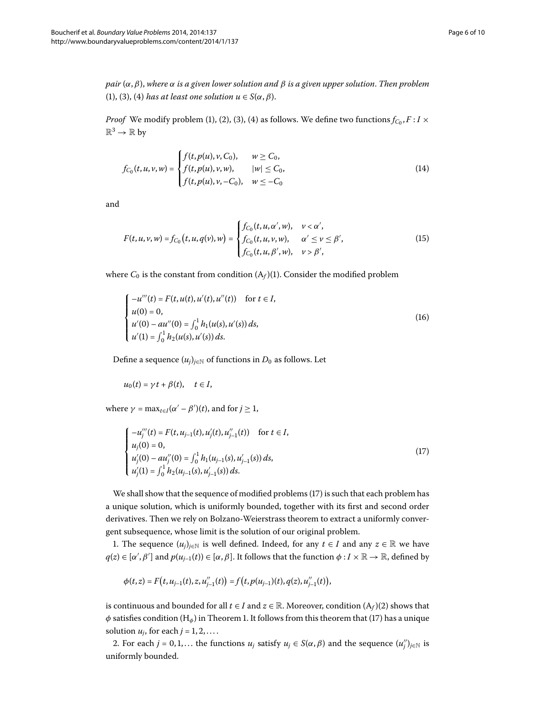*pair* (*α*,*β*), *where α is a given lower solution and β is a given upper solution*. *Then problem* (1[\)](#page-0-3), (3), (4) *has at least one solution*  $u \in S(\alpha, \beta)$ .

*Proof* We modify problem (1[\)](#page-0-3), (2), (3), (4) as follows. We define two functions  $f_{C_0}, F: I \times I$  $\mathbb{R}^3 \to \mathbb{R}$  by

$$
f_{C_0}(t, u, v, w) = \begin{cases} f(t, p(u), v, C_0), & w \ge C_0, \\ f(t, p(u), v, w), & |w| \le C_0, \\ f(t, p(u), v, -C_0), & w \le -C_0 \end{cases}
$$
(14)

and

$$
F(t, u, v, w) = f_{C_0}(t, u, q(v), w) = \begin{cases} f_{C_0}(t, u, \alpha', w), & v < \alpha', \\ f_{C_0}(t, u, v, w), & \alpha' \le v \le \beta', \\ f_{C_0}(t, u, \beta', w), & v > \beta', \end{cases}
$$
(15)

where  $C_0$  is the constant from condition  $(A_f)(1)$ . Consider the modified problem

$$
\begin{cases}\n-u'''(t) = F(t, u(t), u'(t), u''(t)) & \text{for } t \in I, \\
u(0) = 0, \\
u'(0) - au''(0) = \int_0^1 h_1(u(s), u'(s)) ds, \\
u'(1) = \int_0^1 h_2(u(s), u'(s)) ds.\n\end{cases}
$$
\n(16)

Define a sequence  $(u_i)_{i \in \mathbb{N}}$  of functions in  $D_0$  as follows. Let

<span id="page-5-0"></span>
$$
u_0(t) = \gamma t + \beta(t), \quad t \in I,
$$

where  $\gamma = \max_{t \in I} (\alpha' - \beta')(t)$ , and for  $j \ge 1$ ,

$$
\begin{cases}\n-u_j'''(t) = F(t, u_{j-1}(t), u_j'(t), u_{j-1}''(t)) & \text{for } t \in I, \\
u_j(0) = 0, \\
u_j'(0) - au_j''(0) = \int_0^1 h_1(u_{j-1}(s), u_{j-1}'(s)) ds, \\
u_j'(1) = \int_0^1 h_2(u_{j-1}(s), u_{j-1}'(s)) ds.\n\end{cases}
$$
\n(17)

We shall show that the sequence of modified problems (17[\)](#page-5-0) is such that each problem has a unique solution, which is uniformly bounded, together with its first and second order derivatives. Then we rely on Bolzano-Weierstrass theorem to extract a uniformly convergent subsequence, whose limit is the solution of our original problem.

1. The sequence  $(u_i)_{i \in \mathbb{N}}$  is well defined. Indeed, for any  $t \in I$  and any  $z \in \mathbb{R}$  we have  $q(z) \in [\alpha', \beta']$  and  $p(u_{j-1}(t)) \in [\alpha, \beta]$ . It follows that the function  $\phi: I \times \mathbb{R} \to \mathbb{R}$ , defined by

$$
\phi(t,z)=F(t,u_{j-1}(t),z,u''_{j-1}(t))=f(t,p(u_{j-1})(t),q(z),u''_{j-1}(t)),
$$

is continuous and bounded for all  $t \in I$  and  $z \in \mathbb{R}$ . Moreover, condition  $(A_f)(2)$  shows that  $\phi$  satisfies condition [\(](#page-5-0)H<sub>φ</sub>) in Theorem 1. It follows from this theorem that (17) has a unique solution  $u_i$ , for each  $j = 1, 2, \ldots$ .

2. For each  $j = 0, 1, ...$  the functions  $u_j$  satisfy  $u_j \in S(\alpha, \beta)$  and the sequence  $(u''_j)_{j \in \mathbb{N}}$  is uniformly bounded.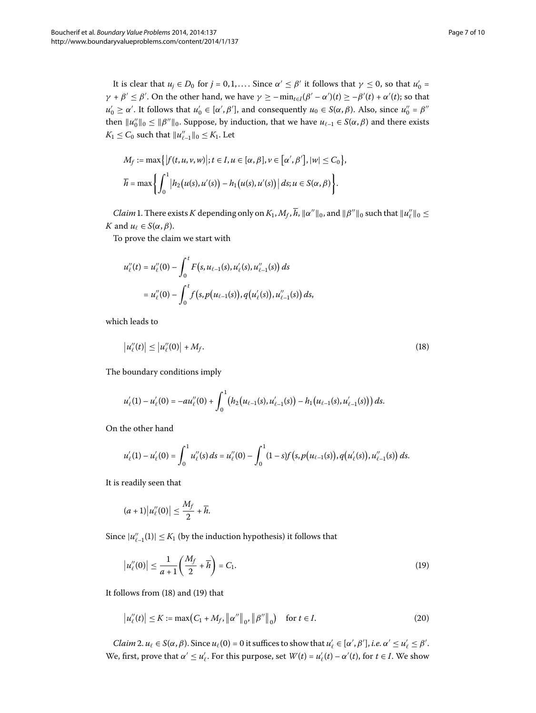It is clear that  $u_j \in D_0$  for  $j = 0, 1, ...$ . Since  $\alpha' \leq \beta'$  it follows that  $\gamma \leq 0$ , so that  $u'_0 =$ *γ* + *β'*  $\leq$  *β'*. On the other hand, we have *γ*  $\geq$  -  $\min_{t \in I}$ (*β'* - *α'*)(*t*)  $\geq$  -*β'*(*t*) + *α'*(*t*); so that *u*<sup>'</sup><sub>0</sub> ≥ *α*'. It follows that *u*<sup>'</sup><sub>0</sub> ∈ [*α'*, *β'*], and consequently *u*<sub>0</sub> ∈ *S*(*α*, *β*). Also, since *u*<sup>''</sup><sub>0</sub> = *β*<sup>''</sup> then  $||u''_0||_0 \le ||\beta''||_0$ . Suppose, by induction, that we have  $u_{\ell-1} \in S(\alpha, \beta)$  and there exists  $K_1 \leq C_0$  such that  $||u''_{\ell-1}||_0 \leq K_1$ . Let

$$
M_f := \max\{|f(t, u, v, w)|; t \in I, u \in [\alpha, \beta], v \in [\alpha', \beta'], |w| \le C_0\},\,
$$
  

$$
\overline{h} = \max\left\{\int_0^1 |h_2(u(s), u'(s)) - h_1(u(s), u'(s))| ds; u \in S(\alpha, \beta)\right\}.
$$

*Claim* 1. There exists *K* depending only on  $K_1$ ,  $M_f$ ,  $h$ ,  $\|\alpha''\|_0$ , and  $\|\beta''\|_0$  such that  $\|u''_e\|_0 \le$ *K* and  $u_{\ell} \in S(\alpha, \beta)$ .

To prove the claim we start with

<span id="page-6-0"></span>
$$
u''_{\ell}(t) = u''_{\ell}(0) - \int_0^t F(s, u_{\ell-1}(s), u'_{\ell}(s), u''_{\ell-1}(s)) ds
$$
  
=  $u''_{\ell}(0) - \int_0^t f(s, p(u_{\ell-1}(s)), q(u'_{\ell}(s)), u''_{\ell-1}(s)) ds,$ 

which leads to

$$
\left|u_{\ell}''(t)\right| \leq \left|u_{\ell}''(0)\right| + M_f. \tag{18}
$$

The boundary conditions imply

$$
u'_{\ell}(1) - u'_{\ell}(0) = -au''_{\ell}(0) + \int_0^1 \big(h_2(u_{\ell-1}(s), u'_{\ell-1}(s)) - h_1(u_{\ell-1}(s), u'_{\ell-1}(s))\big) ds.
$$

On the other hand

$$
u'_{\ell}(1)-u'_{\ell}(0)=\int_0^1 u''_{\ell}(s)\,ds=u''_{\ell}(0)-\int_0^1 (1-s)f\big(s,p\big(u_{\ell-1}(s)\big),q\big(u'_{\ell}(s)\big),u''_{\ell-1}(s)\big)\,ds.
$$

It is readily seen that

<span id="page-6-1"></span>
$$
(a+1)\big|u''_{\ell}(0)\big|\leq \frac{M_f}{2}+\overline{h}.
$$

Since  $|u''_{\ell-1}(1)| \leq K_1$  (by the induction hypothesis) it follows that

$$
|u''_{\ell}(0)| \le \frac{1}{a+1} \left(\frac{M_f}{2} + \overline{h}\right) = C_1.
$$
 (19)

It follows from  $(18)$  $(18)$  and  $(19)$  that

$$
|u''_t(t)| \le K := \max(C_1 + M_f, \|\alpha''\|_0, \|\beta''\|_0) \quad \text{for } t \in I.
$$
 (20)

*Claim* 2.  $u_\ell \in S(\alpha, \beta)$ . Since  $u_\ell(0) = 0$  it suffices to show that  $u'_\ell \in [\alpha', \beta'],$  *i.e.*  $\alpha' \leq u'_\ell \leq \beta'.$ We, first, prove that  $\alpha' \leq u'_{\ell}$ . For this purpose, set  $W(t) = u'_{\ell}(t) - \alpha'(t)$ , for  $t \in I$ . We show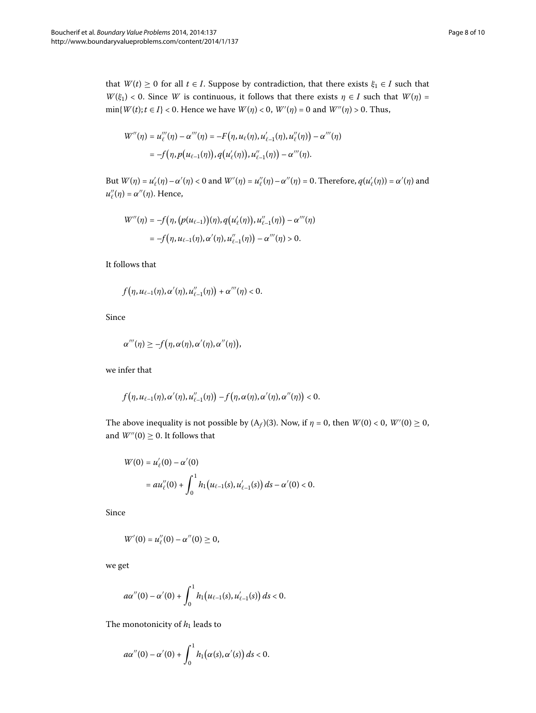$$
W''(\eta) = u''_{\ell}(\eta) - \alpha'''(\eta) = -F(\eta, u_{\ell}(\eta), u'_{\ell-1}(\eta), u''_{\ell}(\eta)) - \alpha'''(\eta)
$$
  
=  $-f(\eta, p(u_{\ell-1}(\eta)), q(u'_{\ell}(\eta)), u''_{\ell-1}(\eta)) - \alpha'''(\eta).$ 

But  $W(\eta) = u'_\ell(\eta) - \alpha'(\eta) < 0$  and  $W'(\eta) = u''_\ell(\eta) - \alpha''(\eta) = 0$ . Therefore,  $q(u'_\ell(\eta)) = \alpha'(\eta)$  and  $u''_{\ell}(\eta) = \alpha''(\eta)$ . Hence,

$$
W''(\eta) = -f(\eta, (p(u_{\ell-1}))(\eta), q(u'_{\ell}(\eta)), u''_{\ell-1}(\eta)) - \alpha'''(\eta)
$$
  
=  $-f(\eta, u_{\ell-1}(\eta), \alpha'(\eta), u''_{\ell-1}(\eta)) - \alpha'''(\eta) > 0.$ 

It follows that

$$
f(\eta, u_{\ell-1}(\eta), \alpha'(\eta), u''_{\ell-1}(\eta)) + \alpha'''(\eta) < 0.
$$

Since

$$
\alpha'''(\eta) \geq -f(\eta,\alpha(\eta),\alpha'(\eta),\alpha''(\eta)),
$$

we infer that

$$
f(\eta, u_{\ell-1}(\eta), \alpha'(\eta), u''_{\ell-1}(\eta)) - f(\eta, \alpha(\eta), \alpha'(\eta), \alpha''(\eta)) < 0.
$$

The above inequality is not possible by  $(A_f)(3)$ . Now, if  $\eta = 0$ , then  $W(0) < 0$ ,  $W'(0) \ge 0$ , and  $W''(0) \geq 0$ . It follows that

$$
W(0) = u'_{\ell}(0) - \alpha'(0)
$$
  
= 
$$
au''_{\ell}(0) + \int_0^1 h_1(u_{\ell-1}(s), u'_{\ell-1}(s)) ds - \alpha'(0) < 0.
$$

Since

$$
W'(0) = u''_{\ell}(0) - \alpha''(0) \geq 0,
$$

we get

$$
a\alpha''(0) - \alpha'(0) + \int_0^1 h_1(u_{\ell-1}(s), u'_{\ell-1}(s)) ds < 0.
$$

The monotonicity of  $h_1$  leads to

$$
a\alpha''(0)-\alpha'(0)+\int_0^1h_1(\alpha(s),\alpha'(s))\ ds<0.
$$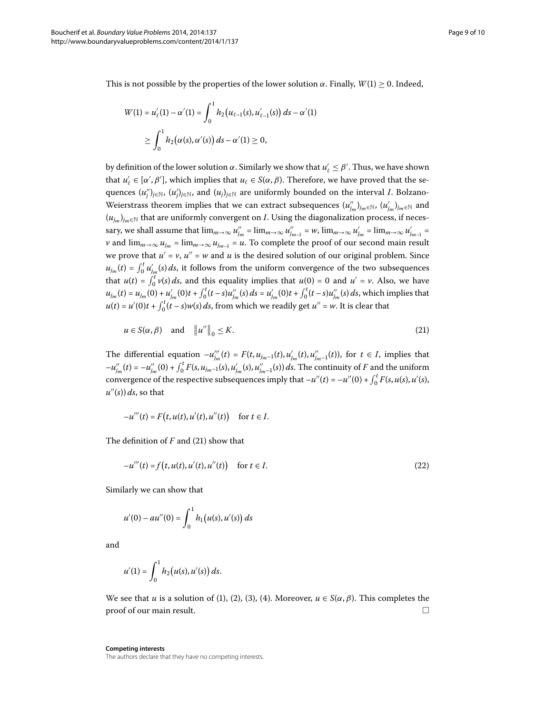This is not possible by the properties of the lower solution  $\alpha$ . Finally,  $W(1) \ge 0$ . Indeed,

$$
W(1) = u'_{\ell}(1) - \alpha'(1) = \int_0^1 h_2(u_{\ell-1}(s), u'_{\ell-1}(s)) ds - \alpha'(1)
$$
  
 
$$
\geq \int_0^1 h_2(\alpha(s), \alpha'(s)) ds - \alpha'(1) \geq 0,
$$

by definition of the lower solution  $\alpha$ . Similarly we show that  $u'_\ell \leq \beta'$  . Thus, we have shown that  $u'_\ell \in [\alpha', \beta']$ , which implies that  $u_\ell \in S(\alpha, \beta)$ . Therefore, we have proved that the sequences  $(u''_j)_{j\in\mathbb{N}},\ (u'_j)_{j\in\mathbb{N}},$  and  $(u_j)_{j\in\mathbb{N}}$  are uniformly bounded on the interval *I*. Bolzano-Weierstrass theorem implies that we can extract subsequences  $(u_{j_m}'')_{j_m\in\mathbb{N}},\, (u_{j_m}')_{j_m\in\mathbb{N}}$  and  $(u_{i_m})_{i_m \in \mathbb{N}}$  that are uniformly convergent on *I*. Using the diagonalization process, if neces- $\sup_{m}$  we shall assume that  $\lim_{m\to\infty}u''_{j_m}=\lim_{m\to\infty}u''_{j_{m-1}}=w$ ,  $\lim_{m\to\infty}u'_{j_m}=\lim_{m\to\infty}u'_{j_{m-1}}=w$ *v* and  $\lim_{m\to\infty} u_{j_m} = \lim_{m\to\infty} u_{j_{m-1}} = u$ . To complete the proof of our second main result we prove that  $u' = v$ ,  $u'' = w$  and *u* is the desired solution of our original problem. Since  $u_{j_m}(t) = \int_0^t u'_{j_m}(s) \, ds$ , it follows from the uniform convergence of the two subsequences that  $u(t) = \int_0^t v(s) ds$ , and this equality implies that  $u(0) = 0$  and  $u' = v$ . Also, we have  $u_{j_m}(t) = u_{j_m}(0) + u'_{j_m}(0)t + \int_0^t (t-s)u''_{j_m}(s) ds = u'_{j_m}(0)t + \int_0^t (t-s)u''_{j_m}(s) ds$ , which implies that  $u(t) = u'(0)t + \int_0^t (t-s)w(s) ds$ , from which we readily get  $u'' = w$ . It is clear that

<span id="page-8-0"></span>
$$
u \in S(\alpha, \beta) \quad \text{and} \quad \|u''\|_{0} \leq K. \tag{21}
$$

The differential equation  $-u_{j_m}^{\prime\prime\prime}(t) = F(t, u_{j_m-1}(t), u_{j_m}^{\prime}(t), u_{j_m-1}^{\prime\prime}(t))$ , for  $t \in I$ , implies that  $-u''_{j_m}(t) = -u''_{j_m}(0) + \int_0^t F(s, u_{j_{m}-1}(s), u'_{j_m}(s), u''_{j_{m}-1}(s)) ds$ . The continuity of F and the uniform convergence of the respective subsequences imply that  $-u''(t) = -u''(0) + \int_0^t F(s, u(s), u'(s))$  $\mu''(s))\,ds$ , so that

$$
-u'''(t) = F(t, u(t), u'(t), u''(t)) \text{ for } t \in I.
$$

The definition of  $F$  and [\(](#page-8-0)21) show that

$$
-u'''(t) = f(t, u(t), u'(t), u''(t)) \quad \text{for } t \in I.
$$
 (22)

Similarly we can show that

$$
u'(0) - au''(0) = \int_0^1 h_1(u(s), u'(s)) ds
$$

and

$$
u'(1) = \int_0^1 h_2(u(s), u'(s)) ds.
$$

We see that *u* is a solution of (1[\)](#page-0-3), [\(](#page-0-2)2), (3), (4). Moreover,  $u \in S(\alpha, \beta)$ . This completes the  $\Box$  proof of our main result.

**Competing interests** The authors declare that they have no competing interests.